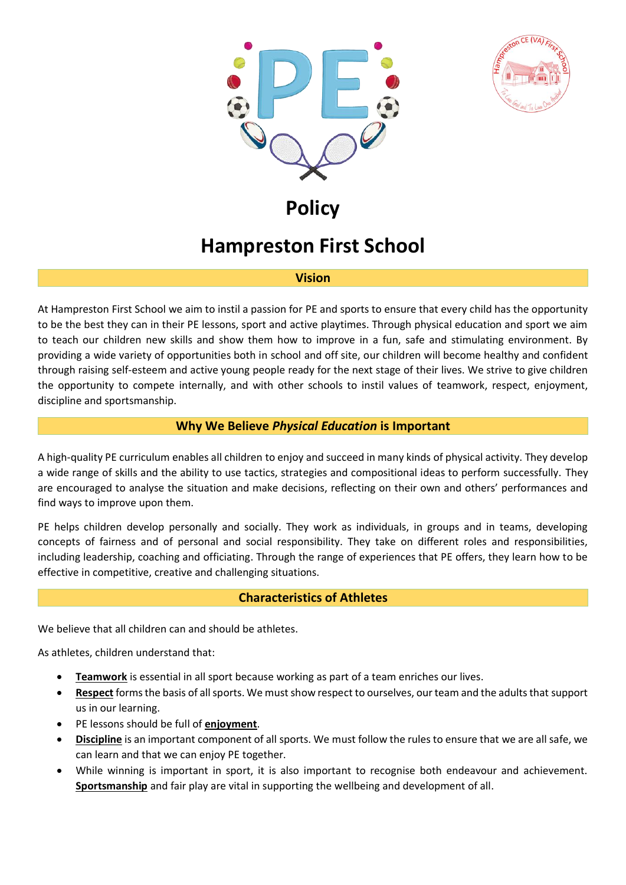



# **Policy**

# **Hampreston First School**

#### **Vision**

At Hampreston First School we aim to instil a passion for PE and sports to ensure that every child has the opportunity to be the best they can in their PE lessons, sport and active playtimes. Through physical education and sport we aim to teach our children new skills and show them how to improve in a fun, safe and stimulating environment. By providing a wide variety of opportunities both in school and off site, our children will become healthy and confident through raising self-esteem and active young people ready for the next stage of their lives. We strive to give children the opportunity to compete internally, and with other schools to instil values of teamwork, respect, enjoyment, discipline and sportsmanship.

# **Why We Believe** *Physical Education* **is Important**

A high-quality PE curriculum enables all children to enjoy and succeed in many kinds of physical activity. They develop a wide range of skills and the ability to use tactics, strategies and compositional ideas to perform successfully. They are encouraged to analyse the situation and make decisions, reflecting on their own and others' performances and find ways to improve upon them.

PE helps children develop personally and socially. They work as individuals, in groups and in teams, developing concepts of fairness and of personal and social responsibility. They take on different roles and responsibilities, including leadership, coaching and officiating. Through the range of experiences that PE offers, they learn how to be effective in competitive, creative and challenging situations.

# **Characteristics of Athletes**

We believe that all children can and should be athletes.

As athletes, children understand that:

- **Teamwork** is essential in all sport because working as part of a team enriches our lives.
- **Respect** forms the basis of all sports. We must show respect to ourselves, our team and the adults that support us in our learning.
- PE lessons should be full of **enjoyment**.
- **Discipline** is an important component of all sports. We must follow the rules to ensure that we are all safe, we can learn and that we can enjoy PE together.
- While winning is important in sport, it is also important to recognise both endeavour and achievement. **Sportsmanship** and fair play are vital in supporting the wellbeing and development of all.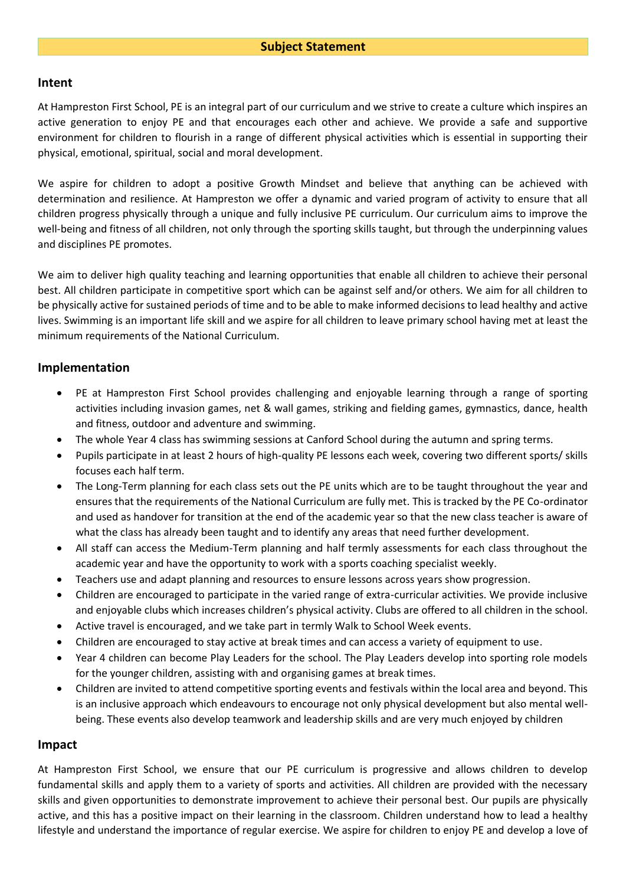#### **Intent**

At Hampreston First School, PE is an integral part of our curriculum and we strive to create a culture which inspires an active generation to enjoy PE and that encourages each other and achieve. We provide a safe and supportive environment for children to flourish in a range of different physical activities which is essential in supporting their physical, emotional, spiritual, social and moral development.

We aspire for children to adopt a positive Growth Mindset and believe that anything can be achieved with determination and resilience. At Hampreston we offer a dynamic and varied program of activity to ensure that all children progress physically through a unique and fully inclusive PE curriculum. Our curriculum aims to improve the well-being and fitness of all children, not only through the sporting skills taught, but through the underpinning values and disciplines PE promotes.

We aim to deliver high quality teaching and learning opportunities that enable all children to achieve their personal best. All children participate in competitive sport which can be against self and/or others. We aim for all children to be physically active for sustained periods of time and to be able to make informed decisions to lead healthy and active lives. Swimming is an important life skill and we aspire for all children to leave primary school having met at least the minimum requirements of the National Curriculum.

### **Implementation**

- PE at Hampreston First School provides challenging and enjoyable learning through a range of sporting activities including invasion games, net & wall games, striking and fielding games, gymnastics, dance, health and fitness, outdoor and adventure and swimming.
- The whole Year 4 class has swimming sessions at Canford School during the autumn and spring terms.
- Pupils participate in at least 2 hours of high-quality PE lessons each week, covering two different sports/ skills focuses each half term.
- The Long-Term planning for each class sets out the PE units which are to be taught throughout the year and ensures that the requirements of the National Curriculum are fully met. This is tracked by the PE Co-ordinator and used as handover for transition at the end of the academic year so that the new class teacher is aware of what the class has already been taught and to identify any areas that need further development.
- All staff can access the Medium-Term planning and half termly assessments for each class throughout the academic year and have the opportunity to work with a sports coaching specialist weekly.
- Teachers use and adapt planning and resources to ensure lessons across years show progression.
- Children are encouraged to participate in the varied range of extra-curricular activities. We provide inclusive and enjoyable clubs which increases children's physical activity. Clubs are offered to all children in the school.
- Active travel is encouraged, and we take part in termly Walk to School Week events.
- Children are encouraged to stay active at break times and can access a variety of equipment to use.
- Year 4 children can become Play Leaders for the school. The Play Leaders develop into sporting role models for the younger children, assisting with and organising games at break times.
- Children are invited to attend competitive sporting events and festivals within the local area and beyond. This is an inclusive approach which endeavours to encourage not only physical development but also mental wellbeing. These events also develop teamwork and leadership skills and are very much enjoyed by children

#### **Impact**

At Hampreston First School, we ensure that our PE curriculum is progressive and allows children to develop fundamental skills and apply them to a variety of sports and activities. All children are provided with the necessary skills and given opportunities to demonstrate improvement to achieve their personal best. Our pupils are physically active, and this has a positive impact on their learning in the classroom. Children understand how to lead a healthy lifestyle and understand the importance of regular exercise. We aspire for children to enjoy PE and develop a love of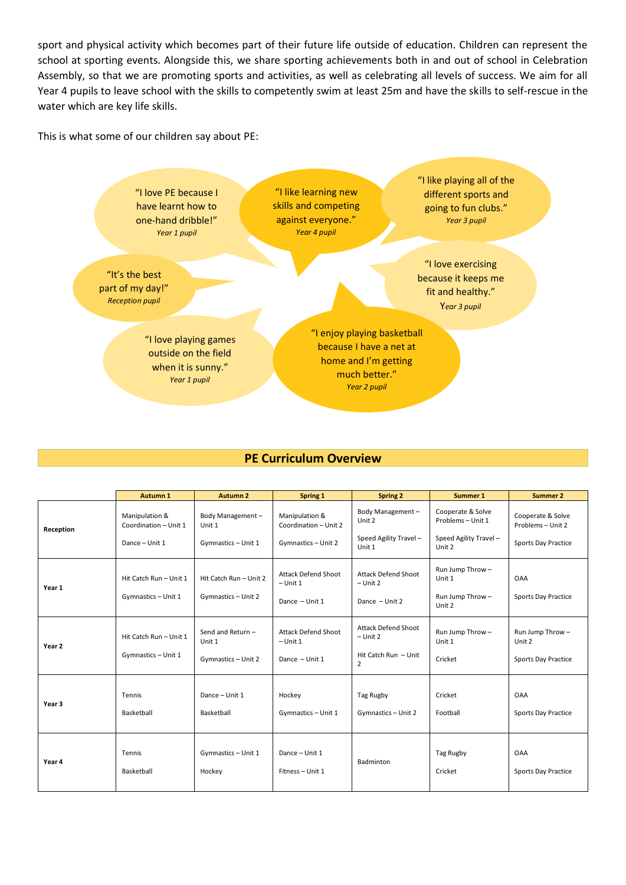sport and physical activity which becomes part of their future life outside of education. Children can represent the school at sporting events. Alongside this, we share sporting achievements both in and out of school in Celebration Assembly, so that we are promoting sports and activities, as well as celebrating all levels of success. We aim for all Year 4 pupils to leave school with the skills to competently swim at least 25m and have the skills to self-rescue in the water which are key life skills.

This is what some of our children say about PE:



#### **PE Curriculum Overview**

|           | <b>Autumn 1</b>                                           | <b>Autumn 2</b>                                   | Spring 1                                                       | <b>Spring 2</b>                                                                    | Summer 1                                                                   | Summer 2                                                             |
|-----------|-----------------------------------------------------------|---------------------------------------------------|----------------------------------------------------------------|------------------------------------------------------------------------------------|----------------------------------------------------------------------------|----------------------------------------------------------------------|
| Reception | Manipulation &<br>Coordination - Unit 1<br>Dance - Unit 1 | Body Management-<br>Unit 1<br>Gymnastics - Unit 1 | Manipulation &<br>Coordination - Unit 2<br>Gymnastics - Unit 2 | Body Management-<br>Unit 2<br>Speed Agility Travel -<br>Unit 1                     | Cooperate & Solve<br>Problems - Unit 1<br>Speed Agility Travel -<br>Unit 2 | Cooperate & Solve<br>Problems - Unit 2<br><b>Sports Day Practice</b> |
| Year 1    | Hit Catch Run - Unit 1<br>Gymnastics - Unit 1             | Hit Catch Run - Unit 2<br>Gymnastics - Unit 2     | <b>Attack Defend Shoot</b><br>$-$ Unit 1<br>Dance - Unit 1     | <b>Attack Defend Shoot</b><br>$-$ Unit 2<br>Dance - Unit 2                         | Run Jump Throw-<br>Unit 1<br>Run Jump Throw-<br>Unit 2                     | <b>OAA</b><br><b>Sports Day Practice</b>                             |
| Year 2    | Hit Catch Run - Unit 1<br>Gymnastics - Unit 1             | Send and Return-<br>Unit 1<br>Gymnastics - Unit 2 | <b>Attack Defend Shoot</b><br>$-$ Unit 1<br>Dance - Unit 1     | <b>Attack Defend Shoot</b><br>$-$ Unit 2<br>Hit Catch Run - Unit<br>$\overline{2}$ | Run Jump Throw-<br>Unit 1<br>Cricket                                       | Run Jump Throw-<br>Unit 2<br>Sports Day Practice                     |
| Year 3    | Tennis<br>Basketball                                      | Dance - Unit 1<br>Basketball                      | Hockey<br>Gymnastics - Unit 1                                  | Tag Rugby<br>Gymnastics - Unit 2                                                   | Cricket<br>Football                                                        | <b>OAA</b><br>Sports Day Practice                                    |
| Year 4    | Tennis<br>Basketball                                      | Gymnastics - Unit 1<br>Hockey                     | Dance - Unit 1<br>Fitness - Unit 1                             | Badminton                                                                          | Tag Rugby<br>Cricket                                                       | <b>OAA</b><br>Sports Day Practice                                    |